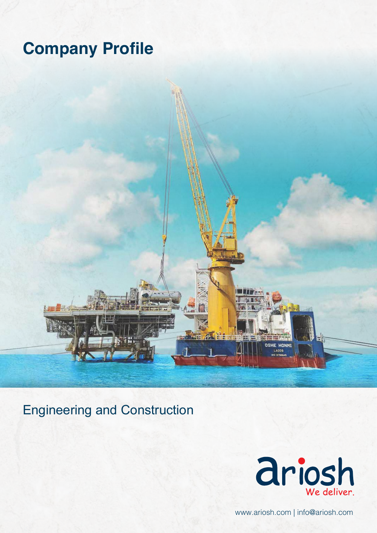# **Company Profile**

Engineering and Construction



**OSHE HONMI** 

www.ariosh.com | info@ariosh.com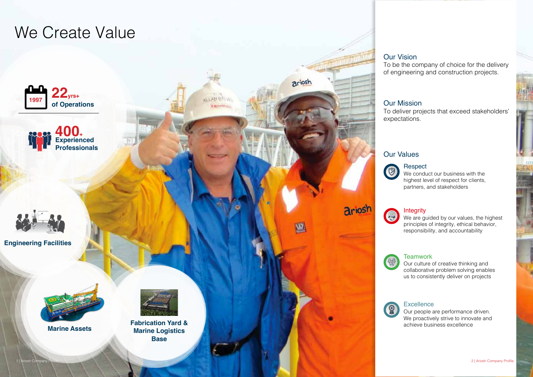To be the company of choice for the delivery of engineering and construction projects.

To deliver projects that exceed stakeholders'

#### We conduct our business with the highest level of respect for clients, partners, and stakeholders **Respect**

### **Integrity**

We are guided by our values, the highest principles of integrity, ethical behavior, responsibility, and accountability

#### **Teamwork**

Our people are performance driven. We proactively strive to innovate and achieve business excellence



Our culture of creative thinking and collaborative problem solving enables us to consistently deliver on projects

#### **Excellence**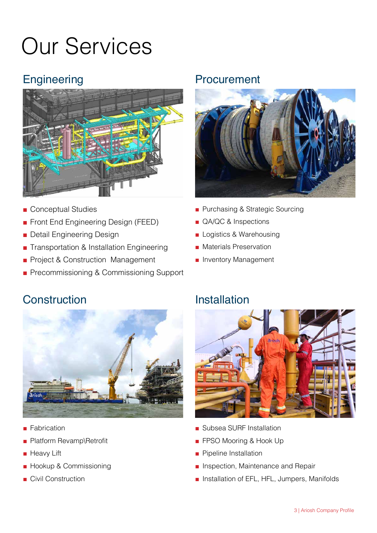# Our Services

# **Engineering**



- Conceptual Studies
- Front End Engineering Design (FEED)
- Detail Engineering Design
- Transportation & Installation Engineering
- Project & Construction Management
- Precommissioning & Commissioning Support

## Procurement



- Purchasing & Strategic Sourcing
- QA/QC & Inspections
- Logistics & Warehousing
- Materials Preservation
- Inventory Management

# **Construction**



- **Fabrication**
- Platform Revamp\Retrofit
- Heavy Lift
- Hookup & Commissioning
- Civil Construction

## Installation



- Subsea SURF Installation
- FPSO Mooring & Hook Up
- Pipeline Installation
- Inspection, Maintenance and Repair
- Installation of EFL, HFL, Jumpers, Manifolds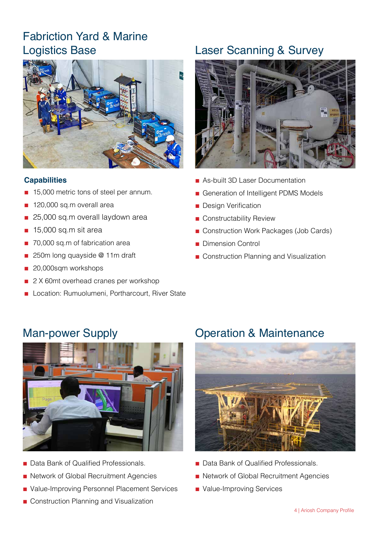# Fabriction Yard & Marine Logistics Base



#### **Capabilities**

- 15,000 metric tons of steel per annum.
- 120,000 sq.m overall area
- 25,000 sq.m overall laydown area
- 15,000 sq.m sit area
- 70,000 sq.m of fabrication area
- 250m long quayside @ 11m draft
- 20,000sqm workshops
- 2 X 60mt overhead cranes per workshop
- Location: Rumuolumeni, Portharcourt, River State

# Laser Scanning & Survey



- As-built 3D Laser Documentation
- Generation of Intelligent PDMS Models
- Design Verification
- Constructability Review
- Construction Work Packages (Job Cards)
- Dimension Control
- Construction Planning and Visualization

# Man-power Supply



- **Data Bank of Qualified Professionals.**
- Network of Global Recruitment Agencies
- Value-Improving Personnel Placement Services
- Construction Planning and Visualization

## Operation & Maintenance



- Data Bank of Qualified Professionals.
- Network of Global Recruitment Agencies
- Value-Improving Services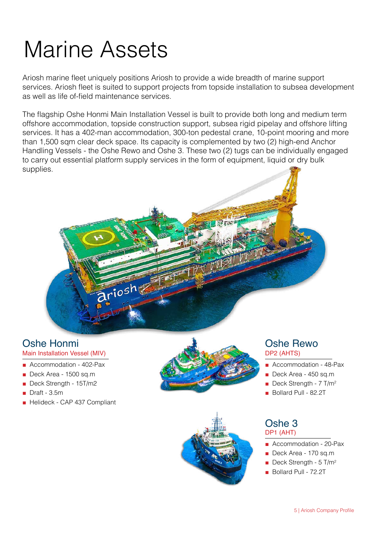# Marine Assets

Ariosh marine fleet uniquely positions Ariosh to provide a wide breadth of marine support services. Ariosh fleet is suited to support projects from topside installation to subsea development as well as life of-field maintenance services.

The flagship Oshe Honmi Main Installation Vessel is built to provide both long and medium term offshore accommodation, topside construction support, subsea rigid pipelay and offshore lifting services. It has a 402-man accommodation, 300-ton pedestal crane, 10-point mooring and more than 1,500 sqm clear deck space. Its capacity is complemented by two (2) high-end Anchor Handling Vessels - the Oshe Rewo and Oshe 3. These two (2) tugs can be individually engaged to carry out essential platform supply services in the form of equipment, liquid or dry bulk supplies.



# Oshe Honmi

### Main Installation Vessel (MIV)

- **■** Accommodation 402-Pax
- **■** Deck Area 1500 sq.m
- **■** Deck Strength 15T/m2
- **■** Draft 3.5m
- **■** Helideck CAP 437 Compliant





#### DP2 (AHTS) Oshe Rewo

- **■** Accommodation 48-Pax
- **■** Deck Area 450 sq.m
- Deck Strength 7 T/m<sup>2</sup>
- **■** Bollard Pull 82.2T

#### DP1 (AHT) Oshe 3

- Accommodation 20-Pax
- **■** Deck Area 170 sq.m
- Deck Strength 5 T/m<sup>2</sup>
- Bollard Pull 72.2T